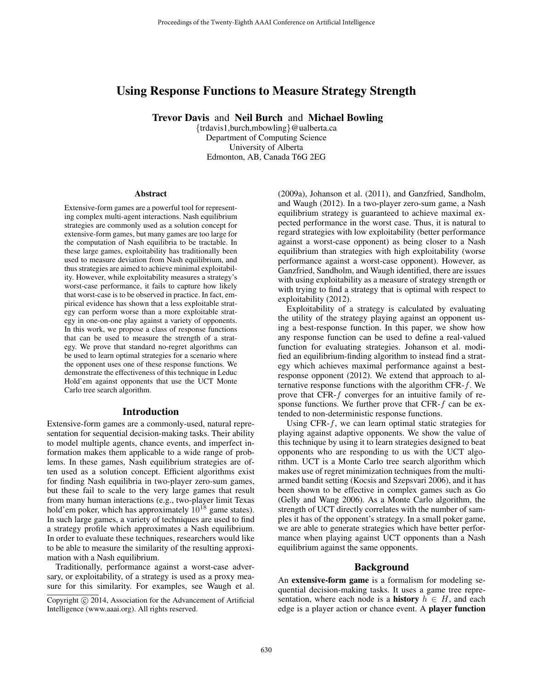# Using Response Functions to Measure Strategy Strength

Trevor Davis and Neil Burch and Michael Bowling

{trdavis1,burch,mbowling}@ualberta.ca Department of Computing Science University of Alberta Edmonton, AB, Canada T6G 2EG

#### **Abstract**

Extensive-form games are a powerful tool for representing complex multi-agent interactions. Nash equilibrium strategies are commonly used as a solution concept for extensive-form games, but many games are too large for the computation of Nash equilibria to be tractable. In these large games, exploitability has traditionally been used to measure deviation from Nash equilibrium, and thus strategies are aimed to achieve minimal exploitability. However, while exploitability measures a strategy's worst-case performance, it fails to capture how likely that worst-case is to be observed in practice. In fact, empirical evidence has shown that a less exploitable strategy can perform worse than a more exploitable strategy in one-on-one play against a variety of opponents. In this work, we propose a class of response functions that can be used to measure the strength of a strategy. We prove that standard no-regret algorithms can be used to learn optimal strategies for a scenario where the opponent uses one of these response functions. We demonstrate the effectiveness of this technique in Leduc Hold'em against opponents that use the UCT Monte Carlo tree search algorithm.

#### Introduction

Extensive-form games are a commonly-used, natural representation for sequential decision-making tasks. Their ability to model multiple agents, chance events, and imperfect information makes them applicable to a wide range of problems. In these games, Nash equilibrium strategies are often used as a solution concept. Efficient algorithms exist for finding Nash equilibria in two-player zero-sum games, but these fail to scale to the very large games that result from many human interactions (e.g., two-player limit Texas hold'em poker, which has approximately  $10^{18}$  game states). In such large games, a variety of techniques are used to find a strategy profile which approximates a Nash equilibrium. In order to evaluate these techniques, researchers would like to be able to measure the similarity of the resulting approximation with a Nash equilibrium.

Traditionally, performance against a worst-case adversary, or exploitability, of a strategy is used as a proxy measure for this similarity. For examples, see Waugh et al.

(2009a), Johanson et al. (2011), and Ganzfried, Sandholm, and Waugh (2012). In a two-player zero-sum game, a Nash equilibrium strategy is guaranteed to achieve maximal expected performance in the worst case. Thus, it is natural to regard strategies with low exploitability (better performance against a worst-case opponent) as being closer to a Nash equilibrium than strategies with high exploitability (worse performance against a worst-case opponent). However, as Ganzfried, Sandholm, and Waugh identified, there are issues with using exploitability as a measure of strategy strength or with trying to find a strategy that is optimal with respect to exploitability (2012).

Exploitability of a strategy is calculated by evaluating the utility of the strategy playing against an opponent using a best-response function. In this paper, we show how any response function can be used to define a real-valued function for evaluating strategies. Johanson et al. modified an equilibrium-finding algorithm to instead find a strategy which achieves maximal performance against a bestresponse opponent (2012). We extend that approach to alternative response functions with the algorithm CFR- $f$ . We prove that CFR-f converges for an intuitive family of response functions. We further prove that CFR-f can be extended to non-deterministic response functions.

Using CFR- $f$ , we can learn optimal static strategies for playing against adaptive opponents. We show the value of this technique by using it to learn strategies designed to beat opponents who are responding to us with the UCT algorithm. UCT is a Monte Carlo tree search algorithm which makes use of regret minimization techniques from the multiarmed bandit setting (Kocsis and Szepsvari 2006), and it has been shown to be effective in complex games such as Go (Gelly and Wang 2006). As a Monte Carlo algorithm, the strength of UCT directly correlates with the number of samples it has of the opponent's strategy. In a small poker game, we are able to generate strategies which have better performance when playing against UCT opponents than a Nash equilibrium against the same opponents.

#### Background

An extensive-form game is a formalism for modeling sequential decision-making tasks. It uses a game tree representation, where each node is a **history**  $h \in H$ , and each edge is a player action or chance event. A player function

Copyright © 2014, Association for the Advancement of Artificial Intelligence (www.aaai.org). All rights reserved.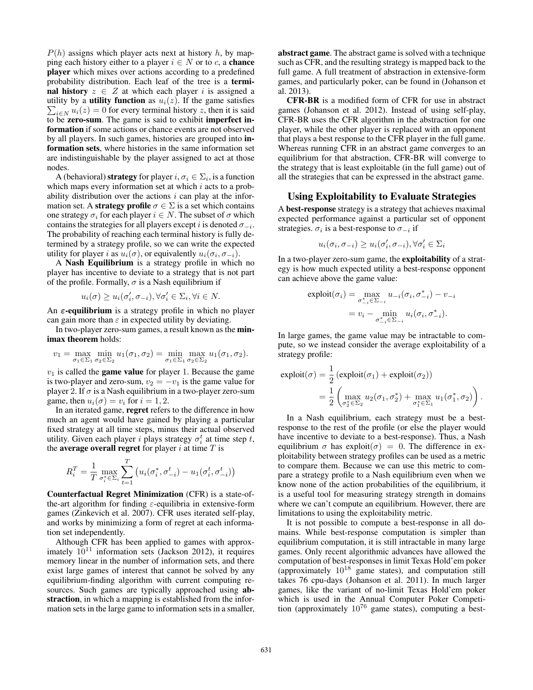$P(h)$  assigns which player acts next at history h, by mapping each history either to a player  $i \in N$  or to c, a **chance** player which mixes over actions according to a predefined probability distribution. Each leaf of the tree is a terminal history  $z \in Z$  at which each player i is assigned a utility by a **utility function** as  $u_i(z)$ . If the game satisfies  $\sum_{i \in N} u_i(z) = 0$  for every terminal history z, then it is said to be zero-sum. The game is said to exhibit imperfect information if some actions or chance events are not observed by all players. In such games, histories are grouped into information sets, where histories in the same information set are indistinguishable by the player assigned to act at those nodes.

A (behavioral) **strategy** for player  $i, \sigma_i \in \Sigma_i$ , is a function which maps every information set at which  $i$  acts to a probability distribution over the actions  $i$  can play at the information set. A **strategy profile**  $\sigma \in \Sigma$  is a set which contains one strategy  $\sigma_i$  for each player  $i \in N$ . The subset of  $\sigma$  which contains the strategies for all players except i is denoted  $\sigma_{-i}$ . The probability of reaching each terminal history is fully determined by a strategy profile, so we can write the expected utility for player *i* as  $u_i(\sigma)$ , or equivalently  $u_i(\sigma_i, \sigma_{-i})$ .

A Nash Equilibrium is a strategy profile in which no player has incentive to deviate to a strategy that is not part of the profile. Formally,  $\sigma$  is a Nash equilibrium if

$$
u_i(\sigma) \ge u_i(\sigma'_i, \sigma_{-i}), \forall \sigma'_i \in \Sigma_i, \forall i \in N.
$$

An  $\varepsilon$ -equilibrium is a strategy profile in which no player can gain more than  $\varepsilon$  in expected utility by deviating.

In two-player zero-sum games, a result known as the minimax theorem holds:

$$
v_1 = \max_{\sigma_1 \in \Sigma_1} \min_{\sigma_2 \in \Sigma_2} u_1(\sigma_1, \sigma_2) = \min_{\sigma_1 \in \Sigma_1} \max_{\sigma_2 \in \Sigma_2} u_1(\sigma_1, \sigma_2).
$$

 $v_1$  is called the **game value** for player 1. Because the game is two-player and zero-sum,  $v_2 = -v_1$  is the game value for player 2. If  $\sigma$  is a Nash equilibrium in a two-player zero-sum game, then  $u_i(\sigma) = v_i$  for  $i = 1, 2$ .

In an iterated game, regret refers to the difference in how much an agent would have gained by playing a particular fixed strategy at all time steps, minus their actual observed utility. Given each player i plays strategy  $\sigma_i^t$  at time step t, the average overall regret for player  $i$  at time  $T$  is

$$
R_i^T = \frac{1}{T} \max_{\sigma_i^* \in \Sigma_i} \sum_{t=1}^T \left( u_i(\sigma_i^*, \sigma_{-i}^t) - u_1(\sigma_i^t, \sigma_{-i}^t) \right)
$$

Counterfactual Regret Minimization (CFR) is a state-ofthe-art algorithm for finding  $\varepsilon$ -equilibria in extensive-form games (Zinkevich et al. 2007). CFR uses iterated self-play, and works by minimizing a form of regret at each information set independently.

Although CFR has been applied to games with approximately  $10^{11}$  information sets (Jackson 2012), it requires memory linear in the number of information sets, and there exist large games of interest that cannot be solved by any equilibrium-finding algorithm with current computing resources. Such games are typically approached using abstraction, in which a mapping is established from the information sets in the large game to information sets in a smaller,

abstract game. The abstract game is solved with a technique such as CFR, and the resulting strategy is mapped back to the full game. A full treatment of abstraction in extensive-form games, and particularly poker, can be found in (Johanson et al. 2013).

CFR-BR is a modified form of CFR for use in abstract games (Johanson et al. 2012). Instead of using self-play, CFR-BR uses the CFR algorithm in the abstraction for one player, while the other player is replaced with an opponent that plays a best response to the CFR player in the full game. Whereas running CFR in an abstract game converges to an equilibrium for that abstraction, CFR-BR will converge to the strategy that is least exploitable (in the full game) out of all the strategies that can be expressed in the abstract game.

### Using Exploitability to Evaluate Strategies

A best-response strategy is a strategy that achieves maximal expected performance against a particular set of opponent strategies.  $\sigma_i$  is a best-response to  $\sigma_{-i}$  if

$$
u_i(\sigma_i, \sigma_{-i}) \ge u_i(\sigma'_i, \sigma_{-i}), \forall \sigma'_i \in \Sigma_i
$$

In a two-player zero-sum game, the exploitability of a strategy is how much expected utility a best-response opponent can achieve above the game value:

$$
\text{exploit}(\sigma_i) = \max_{\sigma_{-i}^* \in \Sigma_{-i}} u_{-i}(\sigma_i, \sigma_{-i}^*) - v_{-i}
$$

$$
= v_i - \min_{\sigma_{-i}^* \in \Sigma_{-i}} u_i(\sigma_i, \sigma_{-i}^*).
$$

In large games, the game value may be intractable to compute, so we instead consider the average exploitability of a strategy profile:

$$
\begin{split} \text{exploit}(\sigma) &= \frac{1}{2} \left( \text{exploit}(\sigma_1) + \text{exploit}(\sigma_2) \right) \\ &= \frac{1}{2} \left( \max_{\sigma_2^* \in \Sigma_2} u_2(\sigma_1, \sigma_2^*) + \max_{\sigma_1^* \in \Sigma_1} u_1(\sigma_1^*, \sigma_2) \right). \end{split}
$$

In a Nash equilibrium, each strategy must be a bestresponse to the rest of the profile (or else the player would have incentive to deviate to a best-response). Thus, a Nash equilibrium  $\sigma$  has exploit $(\sigma) = 0$ . The difference in exploitability between strategy profiles can be used as a metric to compare them. Because we can use this metric to compare a strategy profile to a Nash equilibrium even when we know none of the action probabilities of the equilibrium, it is a useful tool for measuring strategy strength in domains where we can't compute an equilibrium. However, there are limitations to using the exploitability metric.

It is not possible to compute a best-response in all domains. While best-response computation is simpler than equilibrium computation, it is still intractable in many large games. Only recent algorithmic advances have allowed the computation of best-responses in limit Texas Hold'em poker (approximately  $10^{18}$  game states), and computation still takes 76 cpu-days (Johanson et al. 2011). In much larger games, like the variant of no-limit Texas Hold'em poker which is used in the Annual Computer Poker Competition (approximately  $10^{76}$  game states), computing a best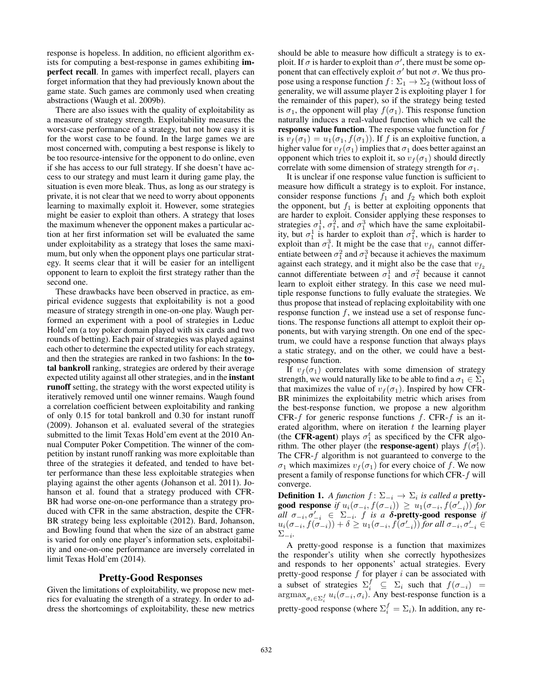response is hopeless. In addition, no efficient algorithm exists for computing a best-response in games exhibiting imperfect recall. In games with imperfect recall, players can forget information that they had previously known about the game state. Such games are commonly used when creating abstractions (Waugh et al. 2009b).

There are also issues with the quality of exploitability as a measure of strategy strength. Exploitability measures the worst-case performance of a strategy, but not how easy it is for the worst case to be found. In the large games we are most concerned with, computing a best response is likely to be too resource-intensive for the opponent to do online, even if she has access to our full strategy. If she doesn't have access to our strategy and must learn it during game play, the situation is even more bleak. Thus, as long as our strategy is private, it is not clear that we need to worry about opponents learning to maximally exploit it. However, some strategies might be easier to exploit than others. A strategy that loses the maximum whenever the opponent makes a particular action at her first information set will be evaluated the same under exploitability as a strategy that loses the same maximum, but only when the opponent plays one particular strategy. It seems clear that it will be easier for an intelligent opponent to learn to exploit the first strategy rather than the second one.

These drawbacks have been observed in practice, as empirical evidence suggests that exploitability is not a good measure of strategy strength in one-on-one play. Waugh performed an experiment with a pool of strategies in Leduc Hold'em (a toy poker domain played with six cards and two rounds of betting). Each pair of strategies was played against each other to determine the expected utility for each strategy, and then the strategies are ranked in two fashions: In the total bankroll ranking, strategies are ordered by their average expected utility against all other strategies, and in the instant runoff setting, the strategy with the worst expected utility is iteratively removed until one winner remains. Waugh found a correlation coefficient between exploitability and ranking of only 0.15 for total bankroll and 0.30 for instant runoff (2009). Johanson et al. evaluated several of the strategies submitted to the limit Texas Hold'em event at the 2010 Annual Computer Poker Competition. The winner of the competition by instant runoff ranking was more exploitable than three of the strategies it defeated, and tended to have better performance than these less exploitable strategies when playing against the other agents (Johanson et al. 2011). Johanson et al. found that a strategy produced with CFR-BR had worse one-on-one performance than a strategy produced with CFR in the same abstraction, despite the CFR-BR strategy being less exploitable (2012). Bard, Johanson, and Bowling found that when the size of an abstract game is varied for only one player's information sets, exploitability and one-on-one performance are inversely correlated in limit Texas Hold'em (2014).

### Pretty-Good Responses

Given the limitations of exploitability, we propose new metrics for evaluating the strength of a strategy. In order to address the shortcomings of exploitability, these new metrics

should be able to measure how difficult a strategy is to exploit. If  $\sigma$  is harder to exploit than  $\sigma'$ , there must be some opponent that can effectively exploit  $\sigma'$  but not  $\sigma$ . We thus propose using a response function  $f: \Sigma_1 \to \Sigma_2$  (without loss of generality, we will assume player 2 is exploiting player 1 for the remainder of this paper), so if the strategy being tested is  $\sigma_1$ , the opponent will play  $f(\sigma_1)$ . This response function naturally induces a real-valued function which we call the **response value function.** The response value function for  $f$ is  $v_f(\sigma_1) = u_1(\sigma_1, f(\sigma_1))$ . If f is an exploitive function, a higher value for  $v_f(\sigma_1)$  implies that  $\sigma_1$  does better against an opponent which tries to exploit it, so  $v_f(\sigma_1)$  should directly correlate with some dimension of strategy strength for  $\sigma_1$ .

It is unclear if one response value function is sufficient to measure how difficult a strategy is to exploit. For instance, consider response functions  $f_1$  and  $f_2$  which both exploit the opponent, but  $f_1$  is better at exploiting opponents that are harder to exploit. Consider applying these responses to strategies  $\sigma_1^1$ ,  $\sigma_1^2$ , and  $\sigma_1^3$  which have the same exploitability, but  $\sigma_1^1$  is harder to exploit than  $\sigma_1^2$ , which is harder to exploit than  $\sigma_1^3$ . It might be the case that  $v_{f_1}$  cannot differentiate between  $\sigma_1^2$  and  $\sigma_1^3$  because it achieves the maximum against each strategy, and it might also be the case that  $v_{f_2}$ cannot differentiate between  $\sigma_1^1$  and  $\sigma_1^2$  because it cannot learn to exploit either strategy. In this case we need multiple response functions to fully evaluate the strategies. We thus propose that instead of replacing exploitability with one response function  $f$ , we instead use a set of response functions. The response functions all attempt to exploit their opponents, but with varying strength. On one end of the spectrum, we could have a response function that always plays a static strategy, and on the other, we could have a bestresponse function.

If  $v_f(\sigma_1)$  correlates with some dimension of strategy strength, we would naturally like to be able to find a  $\sigma_1 \in \Sigma_1$ that maximizes the value of  $v_f(\sigma_1)$ . Inspired by how CFR-BR minimizes the exploitability metric which arises from the best-response function, we propose a new algorithm CFR-f for generic response functions  $f$ . CFR-f is an iterated algorithm, where on iteration  $t$  the learning player (the CFR-agent) plays  $\sigma_1^t$  as specificed by the CFR algorithm. The other player (the **response-agent**) plays  $f(\sigma_1^t)$ . The CFR- $f$  algorithm is not guaranteed to converge to the σ<sub>1</sub> which maximizes  $v_f(σ_1)$  for every choice of f. We now present a family of response functions for which CFR-f will converge.

**Definition 1.** A function  $f: \Sigma_{-i} \to \Sigma_i$  is called a **pretty**good response if  $u_i(\sigma_{-i}, f(\sigma_{-i})) \geq u_1(\sigma_{-i}, f(\sigma'_{-i}))$  for  $all \sigma_{-i}, \sigma'_{-i} \in \Sigma_{-i}$ . *f is a*  $\delta$ -pretty-good response *if*  $u_i(\sigma_{-i}, f(\sigma_{-i})) + \delta \ge u_1(\sigma_{-i}, f(\sigma_{-i}'))$  for all  $\sigma_{-i}, \sigma_{-i}' \in$ Σ<sup>−</sup><sup>i</sup> *.*

A pretty-good response is a function that maximizes the responder's utility when she correctly hypothesizes and responds to her opponents' actual strategies. Every pretty-good response  $f$  for player  $i$  can be associated with a subset of strategies  $\Sigma_i^f \subseteq \Sigma_i$  such that  $f(\sigma_{-i})$  =  $\arg \max_{\sigma_i \in \Sigma_i^f} u_i(\sigma_{-i}, \sigma_i)$ . Any best-response function is a pretty-good response (where  $\Sigma_i^f = \Sigma_i$ ). In addition, any re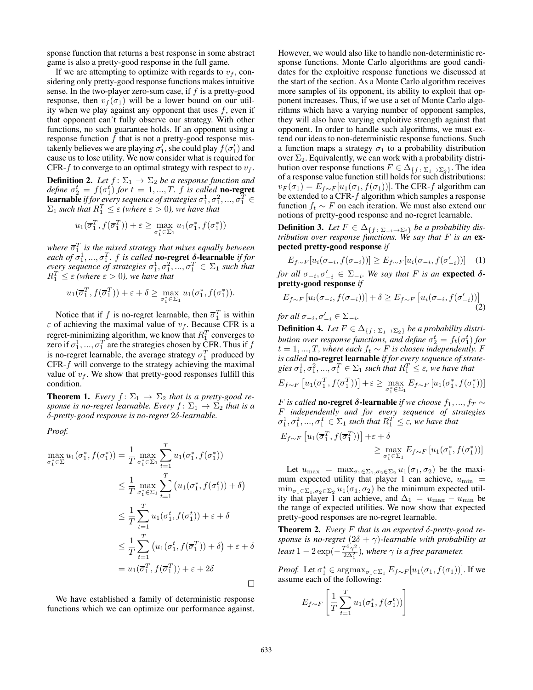sponse function that returns a best response in some abstract game is also a pretty-good response in the full game.

If we are attempting to optimize with regards to  $v_f$ , considering only pretty-good response functions makes intuitive sense. In the two-player zero-sum case, if  $f$  is a pretty-good response, then  $v_f(\sigma_1)$  will be a lower bound on our utility when we play against any opponent that uses  $f$ , even if that opponent can't fully observe our strategy. With other functions, no such guarantee holds. If an opponent using a response function  $f$  that is not a pretty-good response mistakenly believes we are playing  $\sigma'_1$ , she could play  $f(\sigma'_1)$  and cause us to lose utility. We now consider what is required for CFR-f to converge to an optimal strategy with respect to  $v_f$ .

**Definition 2.** *Let*  $f: \Sigma_1 \rightarrow \Sigma_2$  *be a response function and define*  $\sigma_2^t = f(\sigma_1^t)$  *for*  $t = 1, ..., T$ . *f is called* **no-regret learnable** if for every sequence of strategies  $\sigma_1^1, \sigma_1^2, ..., \sigma_1^T \in$  $\Sigma_1$  such that  $R_1^T \leq \varepsilon$  (where  $\varepsilon > 0$ ), we have that

$$
u_1(\overline{\sigma}_1^T, f(\overline{\sigma}_1^T)) + \varepsilon \ge \max_{\sigma_1^* \in \Sigma_1} u_1(\sigma_1^*, f(\sigma_1^*))
$$

where  $\bar{\sigma}_1^T$  is the mixed strategy that mixes equally between *each of*  $\sigma_1^1$ , ...,  $\sigma_1^T$ . *f is called* **no-regret**  $\delta$ -learnable *if for every sequence of strategies*  $\sigma_1^1, \sigma_1^2, ..., \sigma_1^T \in \Sigma_1$  *such that*  $R_1^T \leq \varepsilon$  (where  $\varepsilon > 0$ ), we have that

$$
u_1(\overline{\sigma}_1^T, f(\overline{\sigma}_1^T)) + \varepsilon + \delta \ge \max_{\sigma_1^* \in \Sigma_1} u_1(\sigma_1^*, f(\sigma_1^*)).
$$

Notice that if f is no-regret learnable, then  $\overline{\sigma}_1^T$  is within  $\varepsilon$  of achieving the maximal value of  $v_f$ . Because CFR is a regret-minimizing algorithm, we know that  $R_1^T$  converges to zero if  $\sigma_1^1, ..., \sigma_1^T$  are the strategies chosen by CFR. Thus if  $f$ is no-regret learnable, the average strategy  $\bar{\sigma}_1^T$  produced by  $CFR-f$  will converge to the strategy achieving the maximal value of  $v_f$ . We show that pretty-good responses fulfill this condition.

**Theorem 1.** *Every*  $f: \Sigma_1 \rightarrow \Sigma_2$  *that is a pretty-good response is no-regret learnable. Every*  $f: \Sigma_1 \rightarrow \Sigma_2$  *that is a* δ*-pretty-good response is no-regret* 2δ*-learnable.*

*Proof.*

$$
\max_{\sigma_1^* \in \Sigma} u_1(\sigma_1^*, f(\sigma_1^*)) = \frac{1}{T} \max_{\sigma_1^* \in \Sigma_1} \sum_{t=1}^T u_1(\sigma_1^*, f(\sigma_1^*))
$$
  
\n
$$
\leq \frac{1}{T} \max_{\sigma_1^* \in \Sigma_1} \sum_{t=1}^T (u_1(\sigma_1^*, f(\sigma_1^t)) + \delta)
$$
  
\n
$$
\leq \frac{1}{T} \sum_{t=1}^T u_1(\sigma_1^t, f(\sigma_1^t)) + \epsilon + \delta
$$
  
\n
$$
\leq \frac{1}{T} \sum_{t=1}^T (u_1(\sigma_1^t, f(\overline{\sigma}_1^T)) + \delta) + \epsilon + \delta
$$
  
\n
$$
= u_1(\overline{\sigma}_1^T, f(\overline{\sigma}_1^T)) + \epsilon + 2\delta
$$

We have established a family of deterministic response functions which we can optimize our performance against. However, we would also like to handle non-deterministic response functions. Monte Carlo algorithms are good candidates for the exploitive response functions we discussed at the start of the section. As a Monte Carlo algorithm receives more samples of its opponent, its ability to exploit that opponent increases. Thus, if we use a set of Monte Carlo algorithms which have a varying number of opponent samples, they will also have varying exploitive strength against that opponent. In order to handle such algorithms, we must extend our ideas to non-deterministic response functions. Such a function maps a strategy  $\sigma_1$  to a probability distribution over  $\Sigma_2$ . Equivalently, we can work with a probability distribution over response functions  $F \in \Delta_{\{f : \Sigma_1 \to \Sigma_2\}}$ . The idea of a response value function still holds for such distributions:  $v_F(\sigma_1) = E_{f \sim F}[u_1(\sigma_1, f(\sigma_1))]$ . The CFR-f algorithm can be extended to a CFR-f algorithm which samples a response function  $f_t \sim F$  on each iteration. We must also extend our notions of pretty-good response and no-regret learnable.

**Definition 3.** Let  $F \in \Delta_{\{f : \Sigma - i \to \Sigma_i\}}$  be a probability dis*tribution over response functions. We say that* F *is an* expected pretty-good response *if*

$$
E_{f \sim F}[u_i(\sigma_{-i}, f(\sigma_{-i}))] \ge E_{f \sim F}[u_i(\sigma_{-i}, f(\sigma'_{-i}))]
$$
 (1)

*for all*  $\sigma_{-i}, \sigma'_{-i} \in \Sigma_{-i}$ *. We say that F is an* expected  $\delta$ pretty-good response *if*

$$
E_{f \sim F} \left[ u_i(\sigma_{-i}, f(\sigma_{-i})) \right] + \delta \ge E_{f \sim F} \left[ u_i(\sigma_{-i}, f(\sigma'_{-i})) \right] \tag{2}
$$

*for all*  $\sigma_{-i}, \sigma'_{-i} \in \Sigma_{-i}$ *.* 

**Definition 4.** Let  $F \in \Delta_{\{f : \Sigma_1 \to \Sigma_2\}}$  be a probability distri*bution over response functions, and define*  $\sigma_2^t = f_t(\sigma_1^t)$  for  $t = 1, ..., T$ , where each  $f_t \sim F$  is chosen independently. F<br> $t = 1, ..., T$ , where each  $f_t \sim F$  is chosen independently. F *is called* no-regret learnable *if for every sequence of strate*gies  $\sigma_1^1, \sigma_1^2, ..., \sigma_1^T \in \Sigma_1$  such that  $R_1^T \leq \varepsilon$ , we have that

$$
E_{f \sim F} \left[ u_1(\overline{\sigma}_1^T, f(\overline{\sigma}_1^T)) \right] + \varepsilon \ge \max_{\sigma_1^* \in \Sigma_1} E_{f \sim F} \left[ u_1(\sigma_1^*, f(\sigma_1^*)) \right]
$$

*F* is called **no-regret δ-learnable** if we choose  $f_1, ..., f_T$  ∼ F *independently and for every sequence of strategies*  $\sigma_1^1, \sigma_1^2, ..., \sigma_1^T \in \Sigma_1$  such that  $R_1^T \leq \varepsilon$ , we have that

$$
E_{f \sim F} \left[ u_1(\overline{\sigma}_1^T, f(\overline{\sigma}_1^T)) \right] + \varepsilon + \delta
$$
  
 
$$
\geq \max_{\sigma_1^* \in \Sigma_1} E_{f \sim F} \left[ u_1(\sigma_1^*, f(\sigma_1^*)) \right]
$$

Let  $u_{\text{max}} = \max_{\sigma_1 \in \Sigma_1, \sigma_2 \in \Sigma_2} u_1(\sigma_1, \sigma_2)$  be the maximum expected utility that player 1 can achieve,  $u_{\text{min}}$  =  $\min_{\sigma_1 \in \Sigma_1, \sigma_2 \in \Sigma_2} u_1(\sigma_1, \sigma_2)$  be the minimum expected utility that player 1 can achieve, and  $\Delta_1 = u_{\text{max}} - u_{\text{min}}$  be the range of expected utilities. We now show that expected pretty-good responses are no-regret learnable.

Theorem 2. *Every* F *that is an expected* δ*-pretty-good response is no-regret* (2δ + γ)*-learnable with probability at least* 1 – 2 exp $\left(-\frac{T^2\gamma^2}{2\Delta^2}\right)$  $\frac{p^2\gamma^2}{2\Delta_1^2}$ ), where  $\gamma$  is a free parameter.

*Proof.* Let  $\sigma_1^* \in \text{argmax}_{\sigma_1 \in \Sigma_1} E_{f \sim F}[u_1(\sigma_1, f(\sigma_1))]$ . If we assume each of the following:

$$
E_{f \sim F} \left[ \frac{1}{T} \sum_{t=1}^{T} u_1(\sigma_1^*, f(\sigma_1^t)) \right]
$$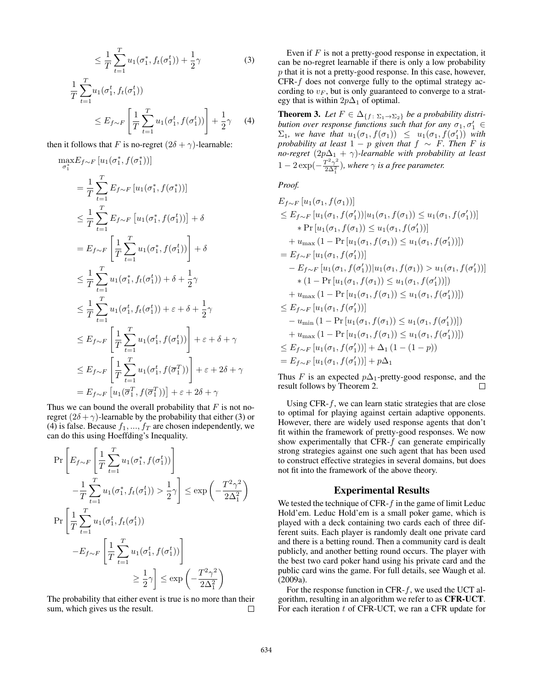$$
\leq \frac{1}{T} \sum_{t=1}^{T} u_1(\sigma_1^*, f_t(\sigma_1^t)) + \frac{1}{2}\gamma
$$
\n
$$
\frac{1}{T} \sum_{t=1}^{T} u_1(\sigma_1^t, f_t(\sigma_1^t))
$$
\n(3)

$$
\leq E_{f \sim F} \left[ \frac{1}{T} \sum_{t=1}^{T} u_1(\sigma_1^t, f(\sigma_1^t)) \right] + \frac{1}{2} \gamma \tag{4}
$$

then it follows that F is no-regret  $(2\delta + \gamma)$ -learnable:

$$
\max_{\sigma_1^*} E_{f \sim F} [u_1(\sigma_1^*, f(\sigma_1^*))]
$$
\n
$$
= \frac{1}{T} \sum_{t=1}^T E_{f \sim F} [u_1(\sigma_1^*, f(\sigma_1^*))]
$$
\n
$$
\leq \frac{1}{T} \sum_{t=1}^T E_{f \sim F} [u_1(\sigma_1^*, f(\sigma_1^*))] + \delta
$$
\n
$$
= E_{f \sim F} \left[ \frac{1}{T} \sum_{t=1}^T u_1(\sigma_1^*, f(\sigma_1^t)) \right] + \delta
$$
\n
$$
\leq \frac{1}{T} \sum_{t=1}^T u_1(\sigma_1^*, f_t(\sigma_1^t)) + \delta + \frac{1}{2}\gamma
$$
\n
$$
\leq \frac{1}{T} \sum_{t=1}^T u_1(\sigma_1^t, f_t(\sigma_1^t)) + \varepsilon + \delta + \frac{1}{2}\gamma
$$
\n
$$
\leq E_{f \sim F} \left[ \frac{1}{T} \sum_{t=1}^T u_1(\sigma_1^t, f(\sigma_1^t)) \right] + \varepsilon + \delta + \gamma
$$
\n
$$
\leq E_{f \sim F} \left[ \frac{1}{T} \sum_{t=1}^T u_1(\sigma_1^t, f(\sigma_1^T)) \right] + \varepsilon + 2\delta + \gamma
$$
\n
$$
= E_{f \sim F} [u_1(\overline{\sigma}_1^T, f(\overline{\sigma}_1^T))] + \varepsilon + 2\delta + \gamma
$$

Thus we can bound the overall probability that  $F$  is not noregret  $(2\delta + \gamma)$ -learnable by the probability that either (3) or (4) is false. Because  $f_1, ..., f_T$  are chosen independently, we can do this using Hoeffding's Inequality.

$$
\Pr\left[E_{f\sim F}\left[\frac{1}{T}\sum_{t=1}^{T}u_1(\sigma_1^*, f(\sigma_1^t))\right]\right]
$$
  

$$
-\frac{1}{T}\sum_{t=1}^{T}u_1(\sigma_1^*, f_t(\sigma_1^t)) > \frac{1}{2}\gamma\right] \le \exp\left(-\frac{T^2\gamma^2}{2\Delta_1^2}\right)
$$
  

$$
\Pr\left[\frac{1}{T}\sum_{t=1}^{T}u_1(\sigma_1^t, f_t(\sigma_1^t))\right]
$$
  

$$
-E_{f\sim F}\left[\frac{1}{T}\sum_{t=1}^{T}u_1(\sigma_1^t, f(\sigma_1^t))\right]
$$
  

$$
\ge \frac{1}{2}\gamma\right] \le \exp\left(-\frac{T^2\gamma^2}{2\Delta_1^2}\right)
$$

The probability that either event is true is no more than their sum, which gives us the result.  $\Box$ 

Even if  $F$  is not a pretty-good response in expectation, it can be no-regret learnable if there is only a low probability p that it is not a pretty-good response. In this case, however, CFR-f does not converge fully to the optimal strategy according to  $v_F$ , but is only guaranteed to converge to a strategy that is within  $2p\Delta_1$  of optimal.

**Theorem 3.** Let  $F \in \Delta_{\{f : \Sigma_1 \to \Sigma_2\}}$  be a probability distri*bution over response functions such that for any*  $\sigma_1, \sigma'_1 \in$  $\Sigma_1$ , we have that  $u_1(\sigma_1, f(\sigma_1)) \leq u_1(\sigma_1, f(\sigma'_1))$  with *probability at least*  $1 - p$  *given that*  $f \sim F$ *. Then*  $F$  *is no-regret*  $(2p\Delta_1 + \gamma)$ *-learnable with probability at least*  $1-2\exp(-\frac{T^2\gamma^2}{2\Delta^2})$  $\frac{I^2\gamma^2}{2\Delta_1^2}$ ), where  $\gamma$  is a free parameter.

*Proof.*

$$
E_{f \sim F} [u_1(\sigma_1, f(\sigma_1))]
$$
  
\n
$$
\leq E_{f \sim F} [u_1(\sigma_1, f(\sigma'_1)) | u_1(\sigma_1, f(\sigma_1)) \leq u_1(\sigma_1, f(\sigma'_1))]
$$
  
\n\* 
$$
\Pr [u_1(\sigma_1, f(\sigma_1)) \leq u_1(\sigma_1, f(\sigma'_1))]
$$
  
\n+ 
$$
u_{\max} (1 - \Pr [u_1(\sigma_1, f(\sigma_1)) \leq u_1(\sigma_1, f(\sigma'_1))])
$$
  
\n= 
$$
E_{f \sim F} [u_1(\sigma_1, f(\sigma'_1))]
$$
  
\n- 
$$
E_{f \sim F} [u_1(\sigma_1, f(\sigma'_1)) | u_1(\sigma_1, f(\sigma_1)) > u_1(\sigma_1, f(\sigma'_1))]
$$
  
\n\* 
$$
(1 - \Pr [u_1(\sigma_1, f(\sigma_1)) \leq u_1(\sigma_1, f(\sigma'_1))])
$$
  
\n+ 
$$
u_{\max} (1 - \Pr [u_1(\sigma_1, f(\sigma_1)) \leq u_1(\sigma_1, f(\sigma'_1))])
$$
  
\n- 
$$
u_{\min} (1 - \Pr [u_1(\sigma_1, f(\sigma_1)) \leq u_1(\sigma_1, f(\sigma'_1))])
$$
  
\n+ 
$$
u_{\max} (1 - \Pr [u_1(\sigma_1, f(\sigma_1)) \leq u_1(\sigma_1, f(\sigma'_1))])
$$
  
\n
$$
\leq E_{f \sim F} [u_1(\sigma_1, f(\sigma'_1))] + \Delta_1 (1 - (1 - p))
$$
  
\n= 
$$
E_{f \sim F} [u_1(\sigma_1, f(\sigma'_1))] + p\Delta_1
$$

Thus F is an expected  $p\Delta_1$ -pretty-good response, and the result follows by Theorem 2.  $\Box$ 

Using CFR- $f$ , we can learn static strategies that are close to optimal for playing against certain adaptive opponents. However, there are widely used response agents that don't fit within the framework of pretty-good responses. We now show experimentally that CFR- $f$  can generate empirically strong strategies against one such agent that has been used to construct effective strategies in several domains, but does not fit into the framework of the above theory.

### Experimental Results

We tested the technique of CFR- $f$  in the game of limit Leduc Hold'em. Leduc Hold'em is a small poker game, which is played with a deck containing two cards each of three different suits. Each player is randomly dealt one private card and there is a betting round. Then a community card is dealt publicly, and another betting round occurs. The player with the best two card poker hand using his private card and the public card wins the game. For full details, see Waugh et al. (2009a).

For the response function in CFR- $f$ , we used the UCT algorithm, resulting in an algorithm we refer to as CFR-UCT. For each iteration  $t$  of CFR-UCT, we ran a CFR update for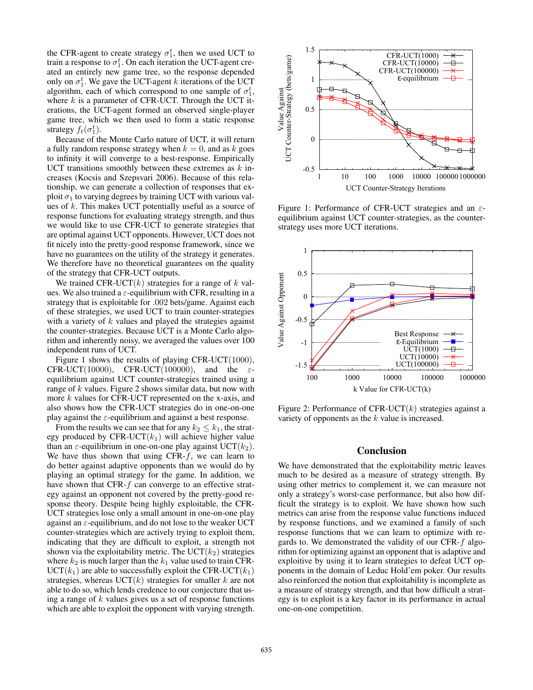the CFR-agent to create strategy  $\sigma_1^t$ , then we used UCT to train a response to  $\sigma_1^t$ . On each iteration the UCT-agent created an entirely new game tree, so the response depended only on  $\sigma_1^t$ . We gave the UCT-agent k iterations of the UCT algorithm, each of which correspond to one sample of  $\sigma_1^t$ , where  $k$  is a parameter of CFR-UCT. Through the UCT iterations, the UCT-agent formed an observed single-player game tree, which we then used to form a static response strategy  $f_t(\sigma_1^t)$ .

Because of the Monte Carlo nature of UCT, it will return a fully random response strategy when  $k = 0$ , and as k goes to infinity it will converge to a best-response. Empirically UCT transitions smoothly between these extremes as  $k$  increases (Kocsis and Szepsvari 2006). Because of this relationship, we can generate a collection of responses that exploit  $\sigma_1$  to varying degrees by training UCT with various values of  $k$ . This makes UCT potentially useful as a source of response functions for evaluating strategy strength, and thus we would like to use CFR-UCT to generate strategies that are optimal against UCT opponents. However, UCT does not fit nicely into the pretty-good response framework, since we have no guarantees on the utility of the strategy it generates. We therefore have no theoretical guarantees on the quality of the strategy that CFR-UCT outputs.

We trained CFR-UCT $(k)$  strategies for a range of k values. We also trained a  $\varepsilon$ -equilibrium with CFR, resulting in a strategy that is exploitable for .002 bets/game. Against each of these strategies, we used UCT to train counter-strategies with a variety of  $k$  values and played the strategies against the counter-strategies. Because UCT is a Monte Carlo algorithm and inherently noisy, we averaged the values over 100 independent runs of UCT.

Figure 1 shows the results of playing CFR-UCT(1000), CFR-UCT(10000), CFR-UCT(100000), and the  $\varepsilon$ equilibrium against UCT counter-strategies trained using a range of  $k$  values. Figure 2 shows similar data, but now with more k values for CFR-UCT represented on the x-axis, and also shows how the CFR-UCT strategies do in one-on-one play against the  $\varepsilon$ -equilibrium and against a best response.

From the results we can see that for any  $k_2 \leq k_1$ , the strategy produced by CFR-UCT $(k_1)$  will achieve higher value than an  $\varepsilon$ -equilibrium in one-on-one play against UCT( $k_2$ ). We have thus shown that using CFR- $f$ , we can learn to do better against adaptive opponents than we would do by playing an optimal strategy for the game. In addition, we have shown that CFR- $f$  can converge to an effective strategy against an opponent not covered by the pretty-good response theory. Despite being highly exploitable, the CFR-UCT strategies lose only a small amount in one-on-one play against an  $\varepsilon$ -equilibrium, and do not lose to the weaker UCT counter-strategies which are actively trying to exploit them, indicating that they are difficult to exploit, a strength not shown via the exploitability metric. The  $\text{UCT}(k_2)$  strategies where  $k_2$  is much larger than the  $k_1$  value used to train CFR- $\text{UCT}(k_1)$  are able to successfully exploit the CFR-UCT $(k_1)$ strategies, whereas  $\text{UCT}(k)$  strategies for smaller k are not able to do so, which lends credence to our conjecture that using a range of  $k$  values gives us a set of response functions which are able to exploit the opponent with varying strength.



Figure 1: Performance of CFR-UCT strategies and an  $\varepsilon$ equilibrium against UCT counter-strategies, as the counterstrategy uses more UCT iterations.



Figure 2: Performance of CFR-UCT $(k)$  strategies against a variety of opponents as the k value is increased.

### Conclusion

We have demonstrated that the exploitability metric leaves much to be desired as a measure of strategy strength. By using other metrics to complement it, we can measure not only a strategy's worst-case performance, but also how difficult the strategy is to exploit. We have shown how such metrics can arise from the response value functions induced by response functions, and we examined a family of such response functions that we can learn to optimize with regards to. We demonstrated the validity of our CFR-f algorithm for optimizing against an opponent that is adaptive and exploitive by using it to learn strategies to defeat UCT opponents in the domain of Leduc Hold'em poker. Our results also reinforced the notion that exploitability is incomplete as a measure of strategy strength, and that how difficult a strategy is to exploit is a key factor in its performance in actual one-on-one competition.